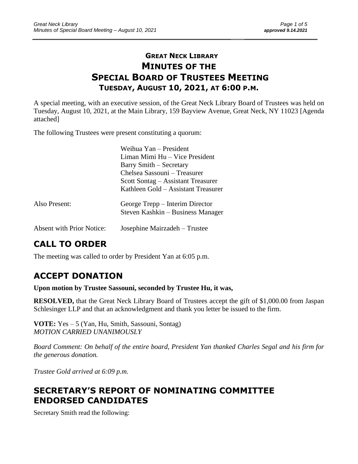### **GREAT NECK LIBRARY MINUTES OF THE SPECIAL BOARD OF TRUSTEES MEETING TUESDAY, AUGUST 10, 2021, AT 6:00 P.M.**

\_\_\_\_\_\_\_\_\_\_\_\_\_\_\_\_\_\_\_\_\_\_\_\_\_\_\_\_\_\_\_\_\_\_\_\_\_\_\_\_\_\_\_\_\_\_\_\_\_\_\_\_\_\_\_\_\_\_\_\_\_\_\_\_\_\_\_\_ \_\_\_\_\_\_\_\_\_\_\_\_\_\_\_\_\_\_\_\_\_\_\_\_\_

A special meeting, with an executive session, of the Great Neck Library Board of Trustees was held on Tuesday, August 10, 2021, at the Main Library, 159 Bayview Avenue, Great Neck, NY 11023 [Agenda attached]

The following Trustees were present constituting a quorum:

|                                  | Weihua Yan – President<br>Liman Mimi Hu - Vice President<br>Barry Smith – Secretary<br>Chelsea Sassouni – Treasurer<br>Scott Sontag – Assistant Treasurer<br>Kathleen Gold – Assistant Treasurer |
|----------------------------------|--------------------------------------------------------------------------------------------------------------------------------------------------------------------------------------------------|
| Also Present:                    | George Trepp – Interim Director<br>Steven Kashkin – Business Manager                                                                                                                             |
| <b>Absent with Prior Notice:</b> | Josephine Mairzadeh – Trustee                                                                                                                                                                    |

# **CALL TO ORDER**

The meeting was called to order by President Yan at 6:05 p.m.

# **ACCEPT DONATION**

**Upon motion by Trustee Sassouni, seconded by Trustee Hu, it was,**

**RESOLVED,** that the Great Neck Library Board of Trustees accept the gift of \$1,000.00 from Jaspan Schlesinger LLP and that an acknowledgment and thank you letter be issued to the firm.

**VOTE:** Yes – 5 (Yan, Hu, Smith, Sassouni, Sontag) *MOTION CARRIED UNANIMOUSLY*

*Board Comment: On behalf of the entire board, President Yan thanked Charles Segal and his firm for the generous donation.*

*Trustee Gold arrived at 6:09 p.m.*

## **SECRETARY'S REPORT OF NOMINATING COMMITTEE ENDORSED CANDIDATES**

Secretary Smith read the following: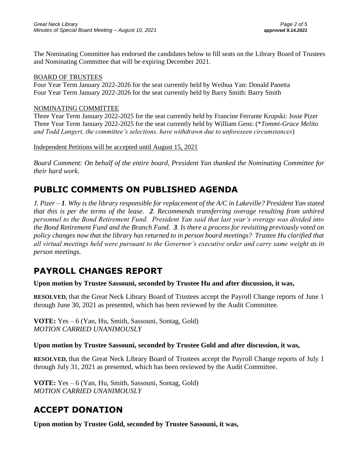The Nominating Committee has endorsed the candidates below to fill seats on the Library Board of Trustees and Nominating Committee that will be expiring December 2021.

#### BOARD OF TRUSTEES

Four Year Term January 2022-2026 for the seat currently held by Weihua Yan: Donald Panetta Four Year Term January 2022-2026 for the seat currently held by Barry Smith: Barry Smith

#### NOMINATING COMMITTEE

Three Year Term January 2022-2025 for the seat currently held by Francine Ferrante Krupski: Josie Pizer Three Year Term January 2022-2025 for the seat currently held by William Gens: (\**Tommi-Grace Melito and Todd Langert, the committee's selections, have withdrawn due to unforeseen circumstances*)

Independent Petitions will be accepted until August 15, 2021

*Board Comment: On behalf of the entire board, President Yan thanked the Nominating Committee for their hard work.*

### **PUBLIC COMMENTS ON PUBLISHED AGENDA**

*J. Pizer – 1. Why is the library responsible for replacement of the A/C in Lakeville? President Yan stated that this is per the terms of the lease. 2. Recommends transferring overage resulting from unhired personnel to the Bond Retirement Fund. President Yan said that last year's overage was divided into the Bond Retirement Fund and the Branch Fund. 3. Is there a process for revisiting previously voted on policy changes now that the library has returned to in person board meetings? Trustee Hu clarified that all virtual meetings held were pursuant to the Governor's executive order and carry same weight as in person meetings.* 

### **PAYROLL CHANGES REPORT**

#### **Upon motion by Trustee Sassouni, seconded by Trustee Hu and after discussion, it was,**

**RESOLVED,** that the Great Neck Library Board of Trustees accept the Payroll Change reports of June 1 through June 30, 2021 as presented, which has been reviewed by the Audit Committee.

**VOTE:** Yes – 6 (Yan, Hu, Smith, Sassouni, Sontag, Gold) *MOTION CARRIED UNANIMOUSLY*

#### **Upon motion by Trustee Sassouni, seconded by Trustee Gold and after discussion, it was,**

**RESOLVED,** that the Great Neck Library Board of Trustees accept the Payroll Change reports of July 1 through July 31, 2021 as presented, which has been reviewed by the Audit Committee.

**VOTE:** Yes – 6 (Yan, Hu, Smith, Sassouni, Sontag, Gold) *MOTION CARRIED UNANIMOUSLY*

## **ACCEPT DONATION**

**Upon motion by Trustee Gold, seconded by Trustee Sassouni, it was,**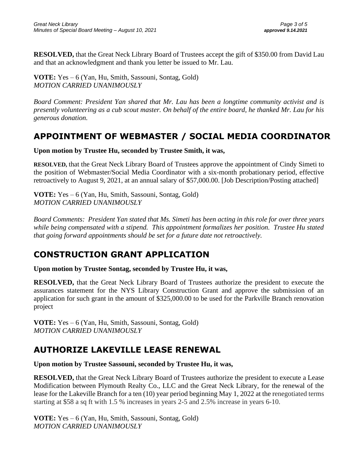**RESOLVED,** that the Great Neck Library Board of Trustees accept the gift of \$350.00 from David Lau and that an acknowledgment and thank you letter be issued to Mr. Lau.

**VOTE:** Yes – 6 (Yan, Hu, Smith, Sassouni, Sontag, Gold) *MOTION CARRIED UNANIMOUSLY*

*Board Comment: President Yan shared that Mr. Lau has been a longtime community activist and is presently volunteering as a cub scout master. On behalf of the entire board, he thanked Mr. Lau for his generous donation.*

### **APPOINTMENT OF WEBMASTER / SOCIAL MEDIA COORDINATOR**

**Upon motion by Trustee Hu, seconded by Trustee Smith, it was,**

**RESOLVED,** that the Great Neck Library Board of Trustees approve the appointment of Cindy Simeti to the position of Webmaster/Social Media Coordinator with a six-month probationary period, effective retroactively to August 9, 2021, at an annual salary of \$57,000.00. [Job Description/Posting attached]

**VOTE:** Yes – 6 (Yan, Hu, Smith, Sassouni, Sontag, Gold) *MOTION CARRIED UNANIMOUSLY*

*Board Comments: President Yan stated that Ms. Simeti has been acting in this role for over three years while being compensated with a stipend. This appointment formalizes her position. Trustee Hu stated that going forward appointments should be set for a future date not retroactively.*

# **CONSTRUCTION GRANT APPLICATION**

**Upon motion by Trustee Sontag, seconded by Trustee Hu, it was,**

**RESOLVED,** that the Great Neck Library Board of Trustees authorize the president to execute the assurances statement for the NYS Library Construction Grant and approve the submission of an application for such grant in the amount of \$325,000.00 to be used for the Parkville Branch renovation project

**VOTE:** Yes – 6 (Yan, Hu, Smith, Sassouni, Sontag, Gold) *MOTION CARRIED UNANIMOUSLY*

# **AUTHORIZE LAKEVILLE LEASE RENEWAL**

**Upon motion by Trustee Sassouni, seconded by Trustee Hu, it was,**

**RESOLVED,** that the Great Neck Library Board of Trustees authorize the president to execute a Lease Modification between Plymouth Realty Co., LLC and the Great Neck Library, for the renewal of the lease for the Lakeville Branch for a ten (10) year period beginning May 1, 2022 at the renegotiated terms starting at \$58 a sq ft with 1.5 % increases in years 2-5 and 2.5% increase in years 6-10.

**VOTE:** Yes – 6 (Yan, Hu, Smith, Sassouni, Sontag, Gold) *MOTION CARRIED UNANIMOUSLY*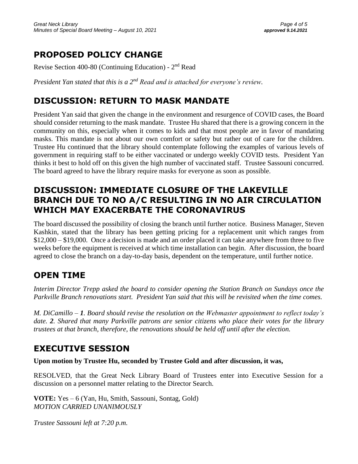## **PROPOSED POLICY CHANGE**

Revise Section 400-80 (Continuing Education) - 2<sup>nd</sup> Read

*President Yan stated that this is a 2nd Read and is attached for everyone's review.*

# **DISCUSSION: RETURN TO MASK MANDATE**

President Yan said that given the change in the environment and resurgence of COVID cases, the Board should consider returning to the mask mandate. Trustee Hu shared that there is a growing concern in the community on this, especially when it comes to kids and that most people are in favor of mandating masks. This mandate is not about our own comfort or safety but rather out of care for the children. Trustee Hu continued that the library should contemplate following the examples of various levels of government in requiring staff to be either vaccinated or undergo weekly COVID tests. President Yan thinks it best to hold off on this given the high number of vaccinated staff. Trustee Sassouni concurred. The board agreed to have the library require masks for everyone as soon as possible.

## **DISCUSSION: IMMEDIATE CLOSURE OF THE LAKEVILLE BRANCH DUE TO NO A/C RESULTING IN NO AIR CIRCULATION WHICH MAY EXACERBATE THE CORONAVIRUS**

The board discussed the possibility of closing the branch until further notice. Business Manager, Steven Kashkin, stated that the library has been getting pricing for a replacement unit which ranges from \$12,000 – \$19,000. Once a decision is made and an order placed it can take anywhere from three to five weeks before the equipment is received at which time installation can begin. After discussion, the board agreed to close the branch on a day-to-day basis, dependent on the temperature, until further notice.

## **OPEN TIME**

*Interim Director Trepp asked the board to consider opening the Station Branch on Sundays once the Parkville Branch renovations start. President Yan said that this will be revisited when the time comes.* 

*M. DiCamillo – 1. Board should revise the resolution on the Webmaster appointment to reflect today's date. 2. Shared that many Parkville patrons are senior citizens who place their votes for the library trustees at that branch, therefore, the renovations should be held off until after the election.*

## **EXECUTIVE SESSION**

**Upon motion by Trustee Hu, seconded by Trustee Gold and after discussion, it was,**

RESOLVED, that the Great Neck Library Board of Trustees enter into Executive Session for a discussion on a personnel matter relating to the Director Search.

**VOTE:** Yes – 6 (Yan, Hu, Smith, Sassouni, Sontag, Gold) *MOTION CARRIED UNANIMOUSLY*

*Trustee Sassouni left at 7:20 p.m.*